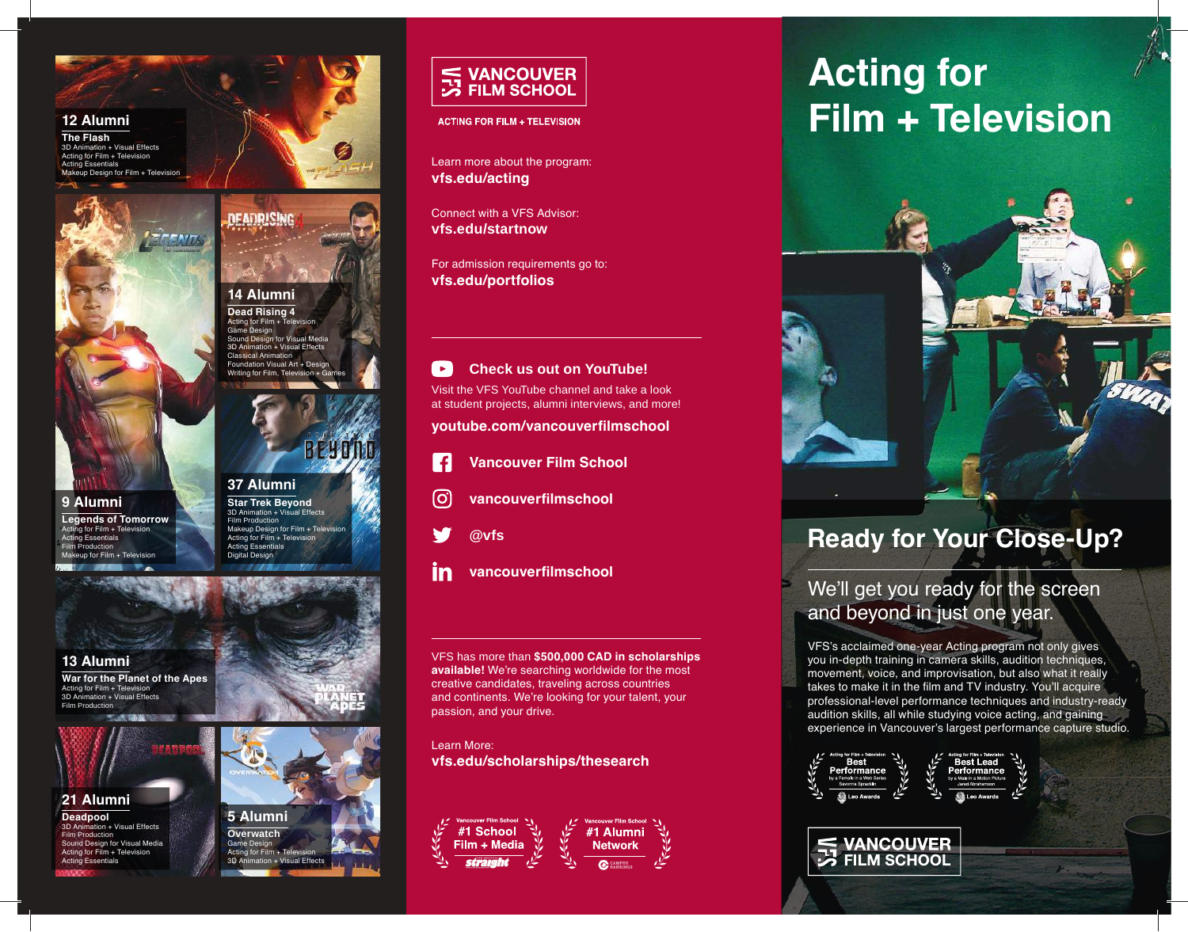#### **12 Alumni**

**The Flash** 3D Animation + Visual Effects Acting for Film + Television ng Essentials Makeup Design for Film + Television



#### **9 Alumni Legends of Tomorrow** Acting for Film + Television Acting Essentials Film Production  $for Film + The levision$



**14 Alumni Dead Rising 4** Acting for Film + Telet ne Design Sound Design for Visual Media 3D Animation + Visual Effects Classical Animation Foundation Visual Art + Desig Writing for Film, Tel

**DEADRISING** 

**Star Trek Beyond** 3D Animation + Visual Effects Film Production Makeup Design for Film + Television Acting for Film + Television Acting Essentials Digital Desig

## **13 Alumni**

**War for the Planet of the Apes** Acting for Film + Television 3D Animation + Visual Effects Film Production



**Deadpool**<br>3D Animation + tion + Visual Effects Film Production d Design for Visual Media  $a$  for Film + Television Acting Essentials





**ACTING FOR FILM + TELEVISION** 

Learn more about the program: **vfs.edu/acting**

Connect with a VFS Advisor: **vfs.edu/startnow**

For admission requirements go to: **vfs.edu/portfolios**

#### $\blacktriangleright$ **Check us out on YouTube!**

Visit the VFS YouTube channel and take a look at student projects, alumni interviews, and more!

**youtube.com/vancouverfilmschool**



- **Vancouver Film School**
- **vancouverfilmschool** [ဝ]



- 
- in **vancouverfilmschool**

VFS has more than **\$500,000 CAD in scholarships available!** We're searching worldwide for the most creative candidates, traveling across countries and continents. We're looking for your talent, your passion, and your drive.

Learn More: **vfs.edu/scholarships/thesearch**



# **Acting for Film + Television**



# **Ready for Your Close-Up?**

# We'll get you ready for the screen and beyond in just one year.

VFS's acclaimed one-year Acting program not only gives you in-depth training in camera skills, audition techniques, movement, voice, and improvisation, but also what it really takes to make it in the film and TV industry. You'll acquire professional-level performance techniques and industry-ready audition skills, all while studying voice acting, and gaining experience in Vancouver's largest performance capture studio.



# **E VANCOUVER EX FILM SCHOOL**